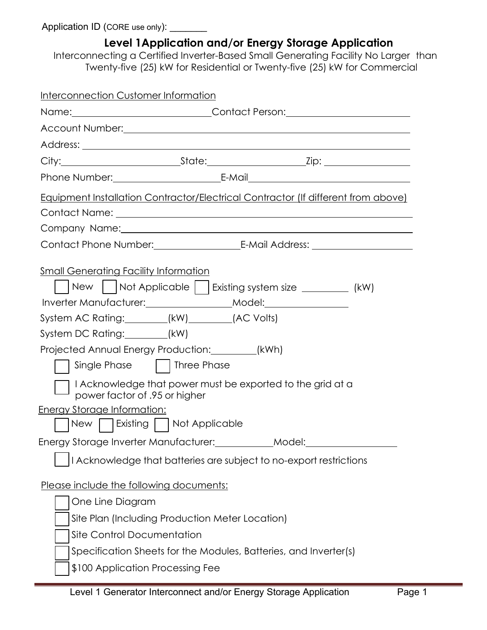Application ID (CORE use only): \_\_\_\_\_\_\_

| Level 1 Application and/or Energy Storage Application<br>Interconnecting a Certified Inverter-Based Small Generating Facility No Larger than<br>Twenty-five (25) kW for Residential or Twenty-five (25) kW for Commercial                                                                                                                                                                                                                                               |
|-------------------------------------------------------------------------------------------------------------------------------------------------------------------------------------------------------------------------------------------------------------------------------------------------------------------------------------------------------------------------------------------------------------------------------------------------------------------------|
| Interconnection Customer Information                                                                                                                                                                                                                                                                                                                                                                                                                                    |
|                                                                                                                                                                                                                                                                                                                                                                                                                                                                         |
| Account Number: <u>Communications</u> Communications and Communications Communications Communications Communications Communications Communications Communications Communications Communications Communications Communications Commu                                                                                                                                                                                                                                     |
|                                                                                                                                                                                                                                                                                                                                                                                                                                                                         |
|                                                                                                                                                                                                                                                                                                                                                                                                                                                                         |
|                                                                                                                                                                                                                                                                                                                                                                                                                                                                         |
| <b>Equipment Installation Contractor/Electrical Contractor (If different from above)</b>                                                                                                                                                                                                                                                                                                                                                                                |
|                                                                                                                                                                                                                                                                                                                                                                                                                                                                         |
| Contact Phone Number: Contact B-Mail Address: Contact Phone Number:                                                                                                                                                                                                                                                                                                                                                                                                     |
| <b>Small Generating Facility Information</b><br>    New     Not Applicable     Existing system size __________ (kW)<br>Inverter Manufacturer: ___________________Model: _______________________________<br>System AC Rating: ________(kW)________(AC Volts)<br>System DC Rating: _______(kW)<br>Projected Annual Energy Production: _______(kWh)<br>Single Phase     Three Phase<br>$\overline{\phantom{a}}$ I Acknowledge that power must be exported to the grid at a |
| power factor of .95 or higher<br><b>Energy Storage Information:</b>                                                                                                                                                                                                                                                                                                                                                                                                     |
| New   Existing     Not Applicable                                                                                                                                                                                                                                                                                                                                                                                                                                       |
| Energy Storage Inverter Manufacturer: ____________Model: _______________________                                                                                                                                                                                                                                                                                                                                                                                        |
| I Acknowledge that batteries are subject to no-export restrictions                                                                                                                                                                                                                                                                                                                                                                                                      |
| Please include the following documents:                                                                                                                                                                                                                                                                                                                                                                                                                                 |
| One Line Diagram                                                                                                                                                                                                                                                                                                                                                                                                                                                        |
| Site Plan (Including Production Meter Location)                                                                                                                                                                                                                                                                                                                                                                                                                         |
| <b>Site Control Documentation</b>                                                                                                                                                                                                                                                                                                                                                                                                                                       |
| Specification Sheets for the Modules, Batteries, and Inverter(s)                                                                                                                                                                                                                                                                                                                                                                                                        |
| \$100 Application Processing Fee                                                                                                                                                                                                                                                                                                                                                                                                                                        |